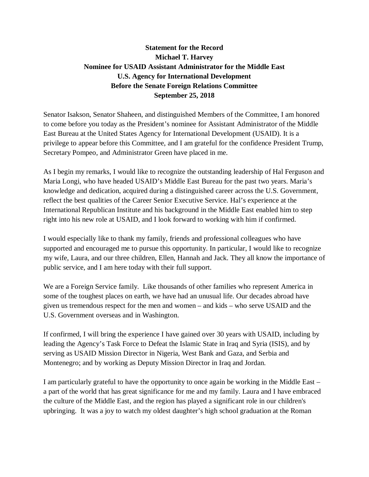## **Statement for the Record Michael T. Harvey Nominee for USAID Assistant Administrator for the Middle East U.S. Agency for International Development Before the Senate Foreign Relations Committee September 25, 2018**

Senator Isakson, Senator Shaheen, and distinguished Members of the Committee, I am honored to come before you today as the President's nominee for Assistant Administrator of the Middle East Bureau at the United States Agency for International Development (USAID). It is a privilege to appear before this Committee, and I am grateful for the confidence President Trump, Secretary Pompeo, and Administrator Green have placed in me.

As I begin my remarks, I would like to recognize the outstanding leadership of Hal Ferguson and Maria Longi, who have headed USAID's Middle East Bureau for the past two years. Maria's knowledge and dedication, acquired during a distinguished career across the U.S. Government, reflect the best qualities of the Career Senior Executive Service. Hal's experience at the International Republican Institute and his background in the Middle East enabled him to step right into his new role at USAID, and I look forward to working with him if confirmed.

I would especially like to thank my family, friends and professional colleagues who have supported and encouraged me to pursue this opportunity. In particular, I would like to recognize my wife, Laura, and our three children, Ellen, Hannah and Jack. They all know the importance of public service, and I am here today with their full support.

We are a Foreign Service family. Like thousands of other families who represent America in some of the toughest places on earth, we have had an unusual life. Our decades abroad have given us tremendous respect for the men and women – and kids – who serve USAID and the U.S. Government overseas and in Washington.

If confirmed, I will bring the experience I have gained over 30 years with USAID, including by leading the Agency's Task Force to Defeat the Islamic State in Iraq and Syria (ISIS), and by serving as USAID Mission Director in Nigeria, West Bank and Gaza, and Serbia and Montenegro; and by working as Deputy Mission Director in Iraq and Jordan.

I am particularly grateful to have the opportunity to once again be working in the Middle East – a part of the world that has great significance for me and my family. Laura and I have embraced the culture of the Middle East, and the region has played a significant role in our children's upbringing. It was a joy to watch my oldest daughter's high school graduation at the Roman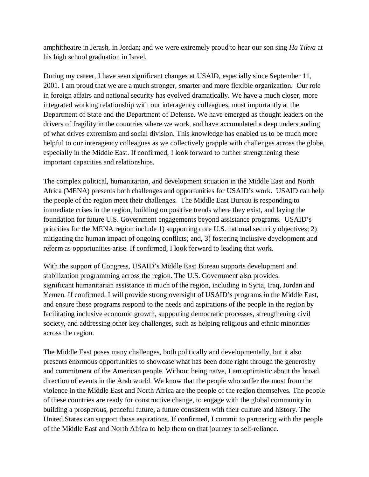amphitheatre in Jerash, in Jordan; and we were extremely proud to hear our son sing *Ha Tikva* at his high school graduation in Israel.

During my career, I have seen significant changes at USAID, especially since September 11, 2001. I am proud that we are a much stronger, smarter and more flexible organization. Our role in foreign affairs and national security has evolved dramatically. We have a much closer, more integrated working relationship with our interagency colleagues, most importantly at the Department of State and the Department of Defense. We have emerged as thought leaders on the drivers of fragility in the countries where we work, and have accumulated a deep understanding of what drives extremism and social division. This knowledge has enabled us to be much more helpful to our interagency colleagues as we collectively grapple with challenges across the globe, especially in the Middle East. If confirmed, I look forward to further strengthening these important capacities and relationships.

The complex political, humanitarian, and development situation in the Middle East and North Africa (MENA) presents both challenges and opportunities for USAID's work. USAID can help the people of the region meet their challenges. The Middle East Bureau is responding to immediate crises in the region, building on positive trends where they exist, and laying the foundation for future U.S. Government engagements beyond assistance programs. USAID's priorities for the MENA region include 1) supporting core U.S. national security objectives; 2) mitigating the human impact of ongoing conflicts; and, 3) fostering inclusive development and reform as opportunities arise. If confirmed, I look forward to leading that work.

With the support of Congress, USAID's Middle East Bureau supports development and stabilization programming across the region. The U.S. Government also provides significant humanitarian assistance in much of the region, including in Syria, Iraq, Jordan and Yemen. If confirmed, I will provide strong oversight of USAID's programs in the Middle East, and ensure those programs respond to the needs and aspirations of the people in the region by facilitating inclusive economic growth, supporting democratic processes, strengthening civil society, and addressing other key challenges, such as helping religious and ethnic minorities across the region.

The Middle East poses many challenges, both politically and developmentally, but it also presents enormous opportunities to showcase what has been done right through the generosity and commitment of the American people. Without being naïve, I am optimistic about the broad direction of events in the Arab world. We know that the people who suffer the most from the violence in the Middle East and North Africa are the people of the region themselves. The people of these countries are ready for constructive change, to engage with the global community in building a prosperous, peaceful future, a future consistent with their culture and history. The United States can support those aspirations. If confirmed, I commit to partnering with the people of the Middle East and North Africa to help them on that journey to self-reliance.